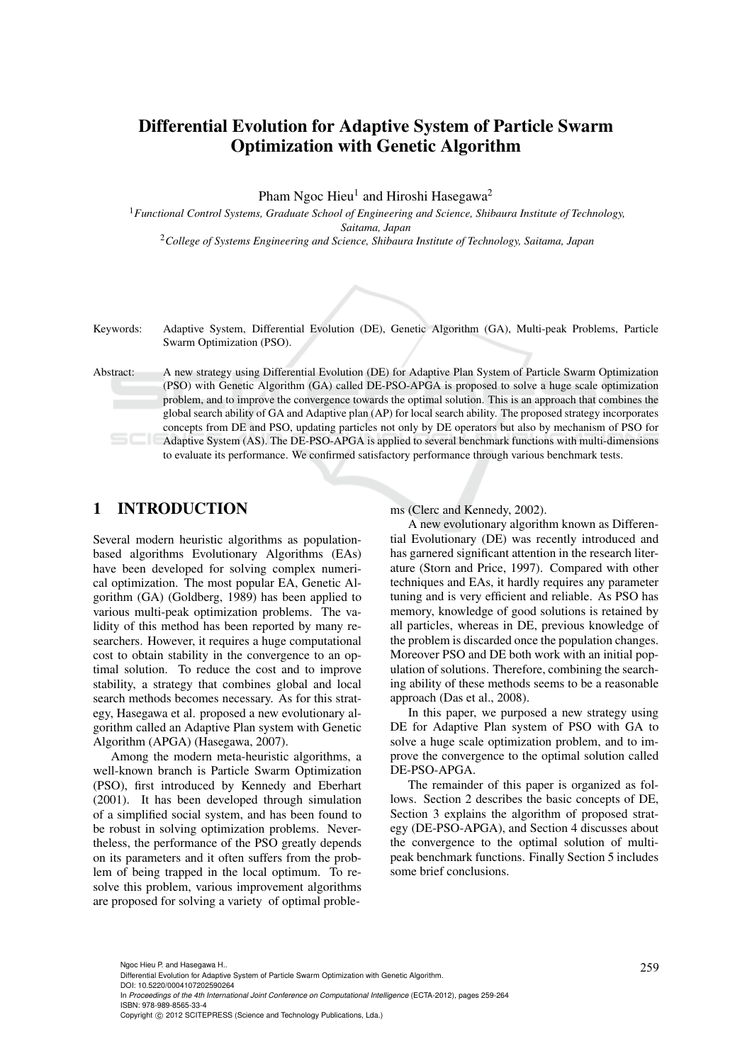# Differential Evolution for Adaptive System of Particle Swarm Optimization with Genetic Algorithm

Pham Ngoc Hieu<sup>1</sup> and Hiroshi Hasegawa<sup>2</sup>

<sup>1</sup>*Functional Control Systems, Graduate School of Engineering and Science, Shibaura Institute of Technology, Saitama, Japan* <sup>2</sup>*College of Systems Engineering and Science, Shibaura Institute of Technology, Saitama, Japan*



Keywords: Adaptive System, Differential Evolution (DE), Genetic Algorithm (GA), Multi-peak Problems, Particle Swarm Optimization (PSO).

Abstract: A new strategy using Differential Evolution (DE) for Adaptive Plan System of Particle Swarm Optimization (PSO) with Genetic Algorithm (GA) called DE-PSO-APGA is proposed to solve a huge scale optimization problem, and to improve the convergence towards the optimal solution. This is an approach that combines the global search ability of GA and Adaptive plan (AP) for local search ability. The proposed strategy incorporates concepts from DE and PSO, updating particles not only by DE operators but also by mechanism of PSO for Adaptive System (AS). The DE-PSO-APGA is applied to several benchmark functions with multi-dimensions to evaluate its performance. We confirmed satisfactory performance through various benchmark tests.

# 1 INTRODUCTION

Several modern heuristic algorithms as populationbased algorithms Evolutionary Algorithms (EAs) have been developed for solving complex numerical optimization. The most popular EA, Genetic Algorithm (GA) (Goldberg, 1989) has been applied to various multi-peak optimization problems. The validity of this method has been reported by many researchers. However, it requires a huge computational cost to obtain stability in the convergence to an optimal solution. To reduce the cost and to improve stability, a strategy that combines global and local search methods becomes necessary. As for this strategy, Hasegawa et al. proposed a new evolutionary algorithm called an Adaptive Plan system with Genetic Algorithm (APGA) (Hasegawa, 2007).

Among the modern meta-heuristic algorithms, a well-known branch is Particle Swarm Optimization (PSO), first introduced by Kennedy and Eberhart (2001). It has been developed through simulation of a simplified social system, and has been found to be robust in solving optimization problems. Nevertheless, the performance of the PSO greatly depends on its parameters and it often suffers from the problem of being trapped in the local optimum. To resolve this problem, various improvement algorithms are proposed for solving a variety of optimal problems (Clerc and Kennedy, 2002).

A new evolutionary algorithm known as Differential Evolutionary (DE) was recently introduced and has garnered significant attention in the research literature (Storn and Price, 1997). Compared with other techniques and EAs, it hardly requires any parameter tuning and is very efficient and reliable. As PSO has memory, knowledge of good solutions is retained by all particles, whereas in DE, previous knowledge of the problem is discarded once the population changes. Moreover PSO and DE both work with an initial population of solutions. Therefore, combining the searching ability of these methods seems to be a reasonable approach (Das et al., 2008).

In this paper, we purposed a new strategy using DE for Adaptive Plan system of PSO with GA to solve a huge scale optimization problem, and to improve the convergence to the optimal solution called DE-PSO-APGA.

The remainder of this paper is organized as follows. Section 2 describes the basic concepts of DE, Section 3 explains the algorithm of proposed strategy (DE-PSO-APGA), and Section 4 discusses about the convergence to the optimal solution of multipeak benchmark functions. Finally Section 5 includes some brief conclusions.

In *Proceedings of the 4th International Joint Conference on Computational Intelligence* (ECTA-2012), pages 259-264 ISBN: 978-989-8565-33-4

<sup>259</sup> Ngoc Hieu P. and Hasegawa H.. Differential Evolution for Adaptive System of Particle Swarm Optimization with Genetic Algorithm. DOI: 10.5220/0004107202590264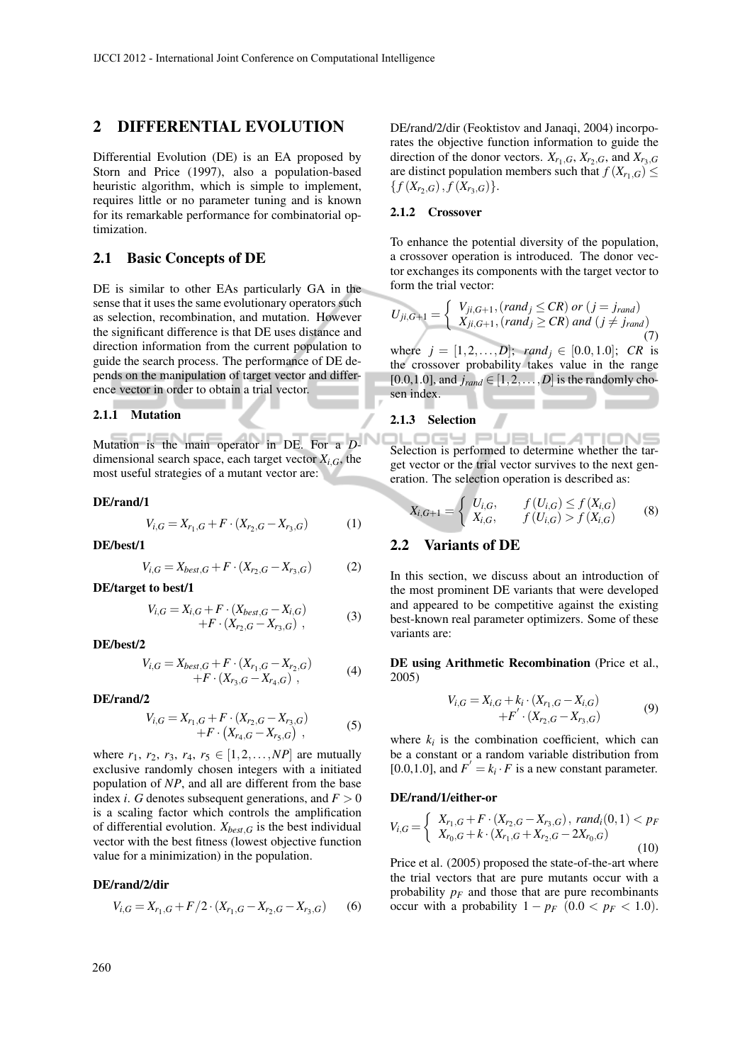## 2 DIFFERENTIAL EVOLUTION

Differential Evolution (DE) is an EA proposed by Storn and Price (1997), also a population-based heuristic algorithm, which is simple to implement, requires little or no parameter tuning and is known for its remarkable performance for combinatorial optimization.

### 2.1 Basic Concepts of DE

DE is similar to other EAs particularly GA in the sense that it uses the same evolutionary operators such as selection, recombination, and mutation. However the significant difference is that DE uses distance and direction information from the current population to guide the search process. The performance of DE depends on the manipulation of target vector and difference vector in order to obtain a trial vector.

#### 2.1.1 Mutation

Mutation is the main operator in DE. For a *D*dimensional search space, each target vector  $X_{i,G}$ , the most useful strategies of a mutant vector are:

#### DE/rand/1

$$
V_{i,G} = X_{r_1,G} + F \cdot (X_{r_2,G} - X_{r_3,G}) \tag{1}
$$

DE/best/1

$$
V_{i,G} = X_{best,G} + F \cdot (X_{r_2,G} - X_{r_3,G})
$$
 (2)

DE/target to best/1

$$
V_{i,G} = X_{i,G} + F \cdot (X_{best,G} - X_{i,G}) + F \cdot (X_{r_2,G} - X_{r_3,G}),
$$
 (3)

DE/best/2

$$
V_{i,G} = X_{best,G} + F \cdot (X_{r_1,G} - X_{r_2,G}) + F \cdot (X_{r_3,G} - X_{r_4,G}),
$$
 (4)

### DE/rand/2

$$
V_{i,G} = X_{r_1,G} + F \cdot (X_{r_2,G} - X_{r_3,G}) + F \cdot (X_{r_4,G} - X_{r_5,G}),
$$
 (5)

where  $r_1$ ,  $r_2$ ,  $r_3$ ,  $r_4$ ,  $r_5 \in [1, 2, ..., NP]$  are mutually exclusive randomly chosen integers with a initiated population of *NP*, and all are different from the base index *i*. *G* denotes subsequent generations, and  $F > 0$ is a scaling factor which controls the amplification of differential evolution. *Xbest*,*<sup>G</sup>* is the best individual vector with the best fitness (lowest objective function value for a minimization) in the population.

#### DE/rand/2/dir

$$
V_{i,G} = X_{r_1,G} + F/2 \cdot (X_{r_1,G} - X_{r_2,G} - X_{r_3,G}) \tag{6}
$$

DE/rand/2/dir (Feoktistov and Janaqi, 2004) incorporates the objective function information to guide the direction of the donor vectors.  $X_{r_1,G}$ ,  $X_{r_2,G}$ , and  $X_{r_3,G}$ are distinct population members such that  $f(X_{r_1,G}) \leq$  $\{f(X_{r_2,G}), f(X_{r_3,G})\}.$ 

## 2.1.2 Crossover

To enhance the potential diversity of the population, a crossover operation is introduced. The donor vector exchanges its components with the target vector to form the trial vector:

$$
U_{ji,G+1} = \begin{cases} V_{ji,G+1}, (rand_j \leq CR) \text{ or } (j = j_{rand}) \\ X_{ji,G+1}, (rand_j \geq CR) \text{ and } (j \neq j_{rand}) \end{cases}
$$
(7)

where  $j = [1, 2, ..., D]$ ; *rand*<sub>*j*</sub>  $\in [0.0, 1.0]$ ; *CR* is the crossover probability takes value in the range  $[0.0,1.0]$ , and  $j_{rand} \in [1,2,\ldots,D]$  is the randomly chosen index.

### 2.1.3 Selection

OGY PUBLICATIONS Selection is performed to determine whether the target vector or the trial vector survives to the next generation. The selection operation is described as:

$$
X_{i,G+1} = \begin{cases} U_{i,G}, & f(U_{i,G}) \le f(X_{i,G}) \\ X_{i,G}, & f(U_{i,G}) > f(X_{i,G}) \end{cases}
$$
 (8)

## 2.2 Variants of DE

In this section, we discuss about an introduction of the most prominent DE variants that were developed and appeared to be competitive against the existing best-known real parameter optimizers. Some of these variants are:

DE using Arithmetic Recombination (Price et al., 2005)

$$
V_{i,G} = X_{i,G} + k_i \cdot (X_{r_1,G} - X_{i,G}) + F' \cdot (X_{r_2,G} - X_{r_3,G})
$$
(9)

where  $k_i$  is the combination coefficient, which can be a constant or a random variable distribution from [0.0,1.0], and  $F' = k_i \cdot F$  is a new constant parameter.

#### DE/rand/1/either-or

$$
V_{i,G} = \begin{cases} X_{r_1,G} + F \cdot (X_{r_2,G} - X_{r_3,G}), \, rand_i(0,1) < p_F \\ X_{r_0,G} + k \cdot (X_{r_1,G} + X_{r_2,G} - 2X_{r_0,G}) \end{cases} \tag{10}
$$

Price et al. (2005) proposed the state-of-the-art where the trial vectors that are pure mutants occur with a probability  $p_F$  and those that are pure recombinants occur with a probability  $1 - p_F (0.0 < p_F < 1.0)$ .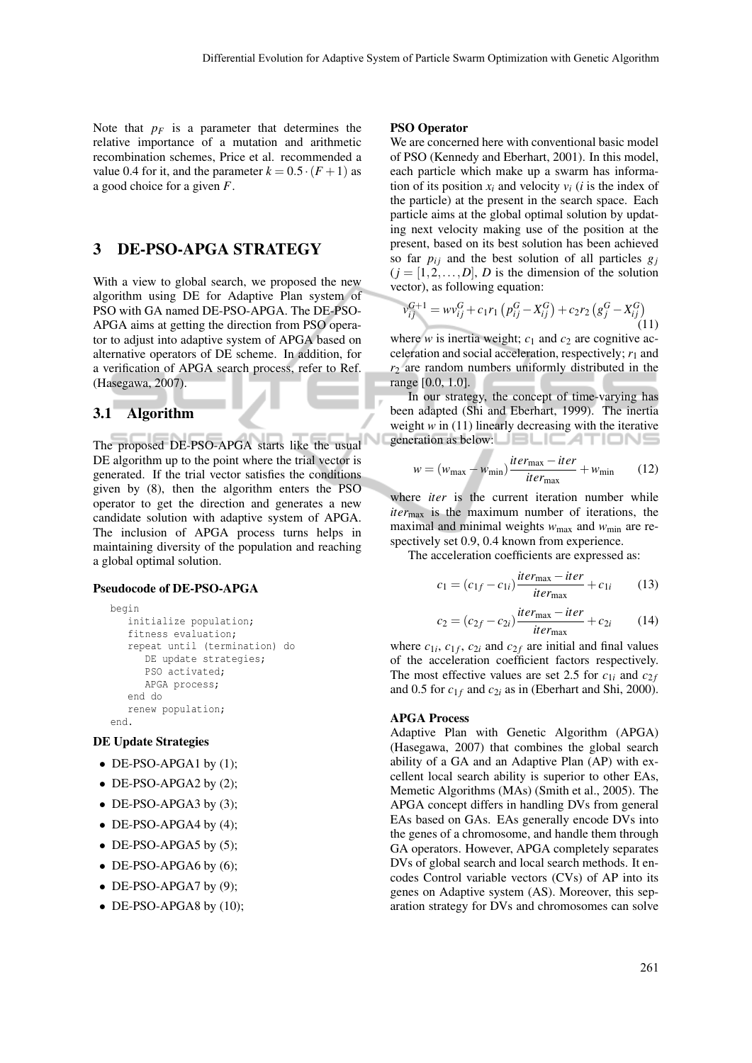Note that  $p_F$  is a parameter that determines the relative importance of a mutation and arithmetic recombination schemes, Price et al. recommended a value 0.4 for it, and the parameter  $k = 0.5 \cdot (F + 1)$  as a good choice for a given *F*.

# 3 DE-PSO-APGA STRATEGY

With a view to global search, we proposed the new algorithm using DE for Adaptive Plan system of PSO with GA named DE-PSO-APGA. The DE-PSO-APGA aims at getting the direction from PSO operator to adjust into adaptive system of APGA based on alternative operators of DE scheme. In addition, for a verification of APGA search process, refer to Ref. (Hasegawa, 2007).

### 3.1 Algorithm

The proposed DE-PSO-APGA starts like the usual DE algorithm up to the point where the trial vector is generated. If the trial vector satisfies the conditions given by (8), then the algorithm enters the PSO operator to get the direction and generates a new candidate solution with adaptive system of APGA. The inclusion of APGA process turns helps in maintaining diversity of the population and reaching a global optimal solution.

#### Pseudocode of DE-PSO-APGA

```
begin
   initialize population;
   fitness evaluation;
   repeat until (termination) do
      DE update strategies;
     PSO activated;
     APGA process;
   end do
   renew population;
end.
```
### DE Update Strategies

- DE-PSO-APGA1 by  $(1)$ ;
- DE-PSO-APGA2 by (2);
- DE-PSO-APGA3 by  $(3)$ ;
- DE-PSO-APGA4 by  $(4)$ ;
- DE-PSO-APGA5 by  $(5)$ ;
- DE-PSO-APGA6 by  $(6)$ ;
- $\bullet$  DE-PSO-APGA7 by (9);
- $\bullet$  DE-PSO-APGA8 by (10);

#### PSO Operator

We are concerned here with conventional basic model of PSO (Kennedy and Eberhart, 2001). In this model, each particle which make up a swarm has information of its position  $x_i$  and velocity  $v_i$  (*i* is the index of the particle) at the present in the search space. Each particle aims at the global optimal solution by updating next velocity making use of the position at the present, based on its best solution has been achieved so far  $p_{ij}$  and the best solution of all particles  $g_j$  $(j = [1, 2, \ldots, D], D$  is the dimension of the solution vector), as following equation:

$$
v_{ij}^{G+1} = w v_{ij}^G + c_1 r_1 \left( p_{ij}^G - X_{ij}^G \right) + c_2 r_2 \left( g_j^G - X_{ij}^G \right)
$$
\n(11)

where *w* is inertia weight;  $c_1$  and  $c_2$  are cognitive acceleration and social acceleration, respectively;  $r_1$  and  $r<sub>2</sub>$  are random numbers uniformly distributed in the range [0.0, 1.0].

In our strategy, the concept of time-varying has been adapted (Shi and Eberhart, 1999). The inertia weight *w* in (11) linearly decreasing with the iterative generation as below:

$$
w = (w_{\text{max}} - w_{\text{min}}) \frac{iter_{\text{max}} - iter}{iter_{\text{max}}} + w_{\text{min}} \qquad (12)
$$

where *iter* is the current iteration number while *iter*max is the maximum number of iterations, the maximal and minimal weights  $w_{\text{max}}$  and  $w_{\text{min}}$  are respectively set 0.9, 0.4 known from experience.

The acceleration coefficients are expressed as:

$$
c_1 = (c_{1f} - c_{1i}) \frac{iter_{\text{max}} - iter}{iter_{\text{max}}} + c_{1i} \qquad (13)
$$

$$
c_2 = (c_{2f} - c_{2i})\frac{iter_{\text{max}} - iter}{iter_{\text{max}}} + c_{2i} \qquad (14)
$$

where  $c_{1i}$ ,  $c_{1f}$ ,  $c_{2i}$  and  $c_{2f}$  are initial and final values of the acceleration coefficient factors respectively. The most effective values are set 2.5 for  $c_{1i}$  and  $c_{2f}$ and 0.5 for  $c_{1f}$  and  $c_{2i}$  as in (Eberhart and Shi, 2000).

#### APGA Process

Adaptive Plan with Genetic Algorithm (APGA) (Hasegawa, 2007) that combines the global search ability of a GA and an Adaptive Plan (AP) with excellent local search ability is superior to other EAs, Memetic Algorithms (MAs) (Smith et al., 2005). The APGA concept differs in handling DVs from general EAs based on GAs. EAs generally encode DVs into the genes of a chromosome, and handle them through GA operators. However, APGA completely separates DVs of global search and local search methods. It encodes Control variable vectors (CVs) of AP into its genes on Adaptive system (AS). Moreover, this separation strategy for DVs and chromosomes can solve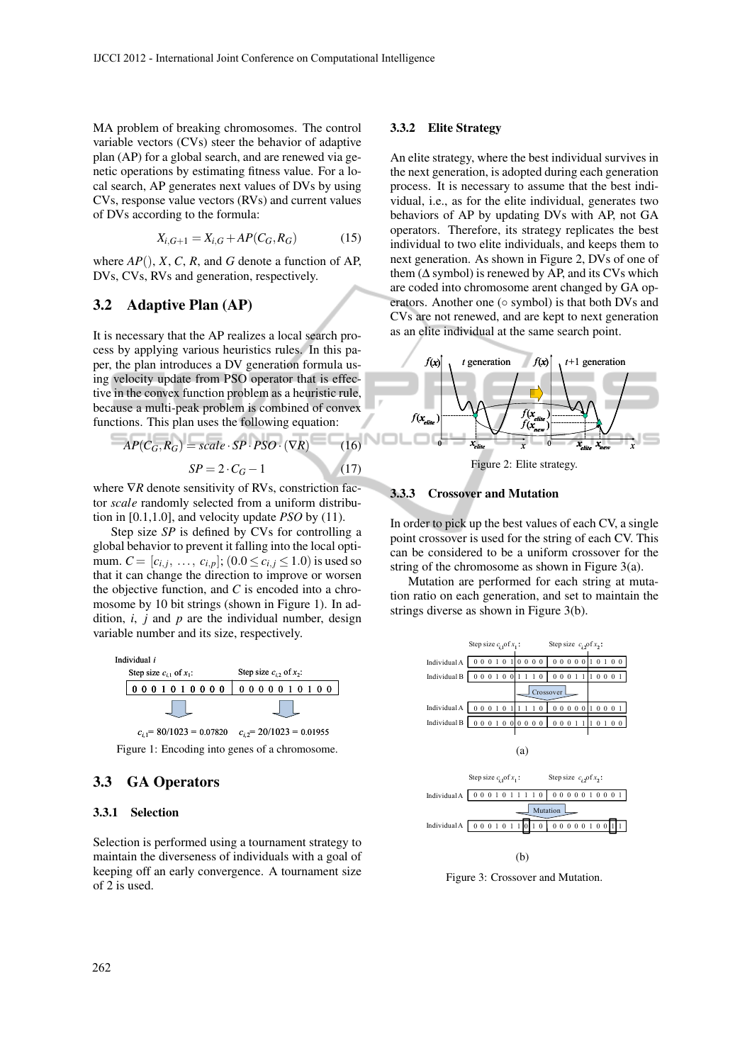MA problem of breaking chromosomes. The control variable vectors (CVs) steer the behavior of adaptive plan (AP) for a global search, and are renewed via genetic operations by estimating fitness value. For a local search, AP generates next values of DVs by using CVs, response value vectors (RVs) and current values of DVs according to the formula:

$$
X_{i,G+1} = X_{i,G} + AP(C_G, R_G)
$$
 (15)

where  $AP($ , *X*, *C*, *R*, and *G* denote a function of AP, DVs, CVs, RVs and generation, respectively.

## 3.2 Adaptive Plan (AP)

It is necessary that the AP realizes a local search process by applying various heuristics rules. In this paper, the plan introduces a DV generation formula using velocity update from PSO operator that is effective in the convex function problem as a heuristic rule, because a multi-peak problem is combined of convex functions. This plan uses the following equation:

$$
AP(C_G, R_G) = scale \cdot SP \cdot PSO \cdot (\nabla R) \tag{16}
$$

$$
SP = 2 \cdot C_G - 1 \tag{17}
$$

where  $∇R$  denote sensitivity of RVs, constriction factor *scale* randomly selected from a uniform distribution in [0.1,1.0], and velocity update *PSO* by (11).

Step size *SP* is defined by CVs for controlling a global behavior to prevent it falling into the local optimum.  $C = [c_{i,j}, \ldots, c_{i,p}]$ ;  $(0.0 \le c_{i,j} \le 1.0)$  is used so that it can change the direction to improve or worsen the objective function, and *C* is encoded into a chromosome by 10 bit strings (shown in Figure 1). In addition, *i*, *j* and *p* are the individual number, design variable number and its size, respectively.





Figure 1: Encoding into genes of a chromosome.

## 3.3 GA Operators

#### 3.3.1 Selection

Selection is performed using a tournament strategy to maintain the diverseness of individuals with a goal of keeping off an early convergence. A tournament size of 2 is used.

#### 3.3.2 Elite Strategy

An elite strategy, where the best individual survives in the next generation, is adopted during each generation process. It is necessary to assume that the best individual, i.e., as for the elite individual, generates two behaviors of AP by updating DVs with AP, not GA operators. Therefore, its strategy replicates the best individual to two elite individuals, and keeps them to next generation. As shown in Figure 2, DVs of one of them ( $\Delta$  symbol) is renewed by AP, and its CVs which are coded into chromosome arent changed by GA operators. Another one (⊙ symbol) is that both DVs and CVs are not renewed, and are kept to next generation as an elite individual at the same search point.



Figure 2: Elite strategy.

## 3.3.3 Crossover and Mutation

In order to pick up the best values of each CV, a single point crossover is used for the string of each CV. This can be considered to be a uniform crossover for the string of the chromosome as shown in Figure 3(a).

Mutation are performed for each string at mutation ratio on each generation, and set to maintain the strings diverse as shown in Figure 3(b).



 $(h)$ 

Figure 3: Crossover and Mutation.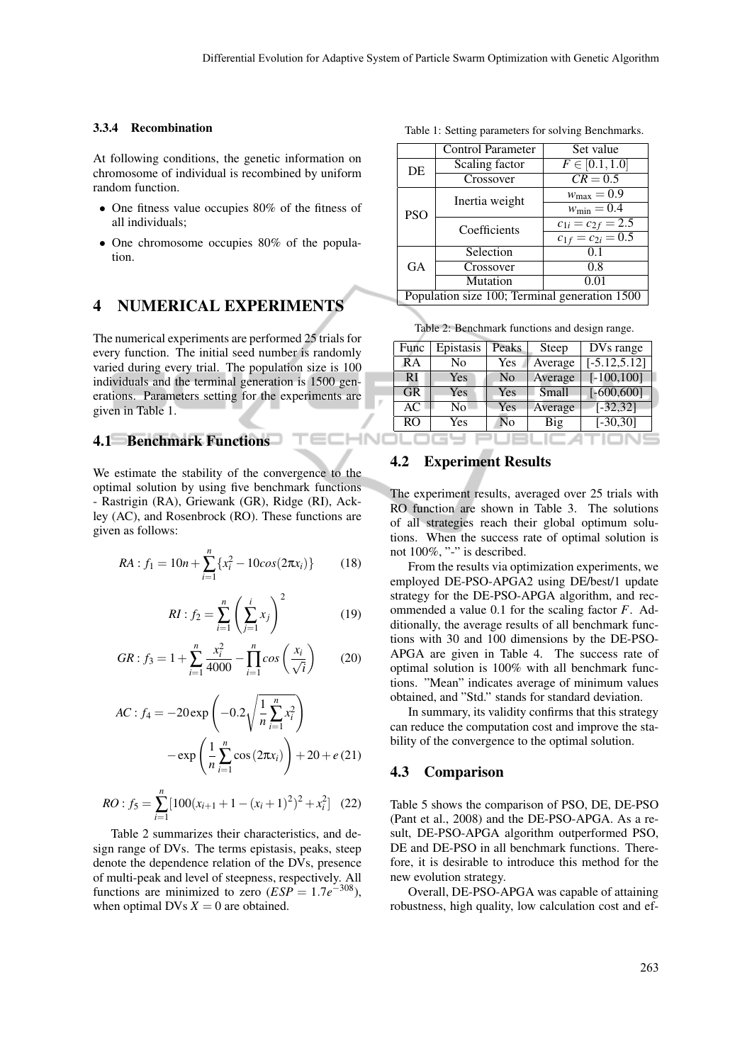#### 3.3.4 Recombination

At following conditions, the genetic information on chromosome of individual is recombined by uniform random function.

- One fitness value occupies 80% of the fitness of all individuals;
- One chromosome occupies 80% of the population.

# 4 NUMERICAL EXPERIMENTS

The numerical experiments are performed 25 trials for every function. The initial seed number is randomly varied during every trial. The population size is 100 individuals and the terminal generation is 1500 generations. Parameters setting for the experiments are given in Table 1.

# 4.1 Benchmark Functions

We estimate the stability of the convergence to the optimal solution by using five benchmark functions - Rastrigin (RA), Griewank (GR), Ridge (RI), Ackley (AC), and Rosenbrock (RO). These functions are given as follows:

$$
RA: f_1 = 10n + \sum_{i=1}^{n} \{x_i^2 - 10cos(2\pi x_i)\} \tag{18}
$$

$$
RI: f_2 = \sum_{i=1}^{n} \left( \sum_{j=1}^{i} x_j \right)^2 \tag{19}
$$

$$
GR: f_3 = 1 + \sum_{i=1}^{n} \frac{x_i^2}{4000} - \prod_{i=1}^{n} \cos\left(\frac{x_i}{\sqrt{i}}\right) \tag{20}
$$

$$
AC: f_4 = -20 \exp \left(-0.2 \sqrt{\frac{1}{n} \sum_{i=1}^{n} x_i^2}\right) - \exp \left(\frac{1}{n} \sum_{i=1}^{n} \cos (2\pi x_i)\right) + 20 + e (21)
$$

$$
RO: f_5 = \sum_{i=1}^{n} \left[ 100(x_{i+1} + 1 - (x_i + 1)^2)^2 + x_i^2 \right] \tag{22}
$$

Table 2 summarizes their characteristics, and design range of DVs. The terms epistasis, peaks, steep denote the dependence relation of the DVs, presence of multi-peak and level of steepness, respectively. All functions are minimized to zero  $(ESP = 1.7e^{-308})$ , when optimal DVs  $X = 0$  are obtained.

Table 1: Setting parameters for solving Benchmarks.

|                                               | Control Parameter | Set value                          |  |  |
|-----------------------------------------------|-------------------|------------------------------------|--|--|
| DE                                            | Scaling factor    | $F \in [0.1, 1.0]$                 |  |  |
|                                               | Crossover         | $CR = 0.5$                         |  |  |
| <b>PSO</b>                                    | Inertia weight    | $w_{\text{max}} = 0.9$             |  |  |
|                                               |                   | $w_{\text{min}} = 0.4$             |  |  |
|                                               | Coefficients      | $c_{1i} = c_{2f} = 2.5$            |  |  |
|                                               |                   | $\overline{c_{1f} = c_{2i} = 0.5}$ |  |  |
| <b>GA</b>                                     | Selection         | 01                                 |  |  |
|                                               | Crossover         | 0.8                                |  |  |
|                                               | Mutation          | 0.01                               |  |  |
| Population size 100; Terminal generation 1500 |                   |                                    |  |  |

Table 2: Benchmark functions and design range.

| Func      | Epistasis      | Peaks | Steep   | DVs range       |
|-----------|----------------|-------|---------|-----------------|
| <b>RA</b> | No             | Yes   | Average | $[-5.12, 5.12]$ |
| RI        | Yes            | No    | Average | $[-100, 100]$   |
| <b>GR</b> | Yes            | Yes   | Small   | $[-600, 600]$   |
| AC        | N <sub>0</sub> | Yes   | Average | $[-32, 32]$     |
| <b>RO</b> | Yes            | No    | Big     | $[-30, 30]$     |
|           |                |       |         |                 |

## 4.2 Experiment Results

**INC** 

The experiment results, averaged over 25 trials with RO function are shown in Table 3. The solutions of all strategies reach their global optimum solutions. When the success rate of optimal solution is not 100%, "-" is described.

From the results via optimization experiments, we employed DE-PSO-APGA2 using DE/best/1 update strategy for the DE-PSO-APGA algorithm, and recommended a value 0.1 for the scaling factor *F*. Additionally, the average results of all benchmark functions with 30 and 100 dimensions by the DE-PSO-APGA are given in Table 4. The success rate of optimal solution is 100% with all benchmark functions. "Mean" indicates average of minimum values obtained, and "Std." stands for standard deviation.

In summary, its validity confirms that this strategy can reduce the computation cost and improve the stability of the convergence to the optimal solution.

## 4.3 Comparison

Table 5 shows the comparison of PSO, DE, DE-PSO (Pant et al., 2008) and the DE-PSO-APGA. As a result, DE-PSO-APGA algorithm outperformed PSO, DE and DE-PSO in all benchmark functions. Therefore, it is desirable to introduce this method for the new evolution strategy.

Overall, DE-PSO-APGA was capable of attaining robustness, high quality, low calculation cost and ef-